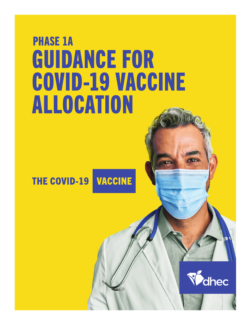# GUIDANCE FOR COVID-19 VACCINE ALLOCATION PHASE 1A

**THE COVID-19 VACCINE** 

Vahec

............................

<del>minimaanuunnanni</del>in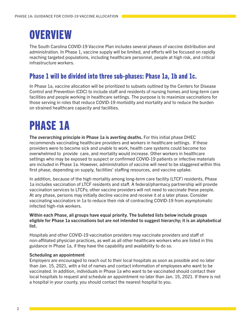### **OVERVIEW**

The South Carolina COVID-19 Vaccine Plan includes several phases of vaccine distribution and administration. In Phase 1, vaccine supply will be limited, and efforts will be focused on rapidly reaching targeted populations, including healthcare personnel, people at high risk, and critical infrastructure workers.

#### Phase 1 will be divided into three sub-phases: Phase 1a, 1b and 1c.

In Phase 1a, vaccine allocation will be prioritized to subsets outlined by the Centers for Disease Control and Prevention (CDC) to include staff and residents of nursing homes and long-term care facilities and people working in healthcare settings. The purpose is to maximize vaccinations for those serving in roles that reduce COVID-19 morbidity and mortality and to reduce the burden on strained healthcare capacity and facilities.

## PHASE 1A

The overarching principle in Phase 1a is averting deaths. For this initial phase DHEC recommends vaccinating healthcare providers and workers in healthcare settings. If these providers were to become sick and unable to work, health care systems could become too overwhelmed to provide care, and mortality would increase. Other workers in healthcare settings who may be exposed to suspect or confirmed COVID-19 patients or infective materials are included in Phase 1a. However, administration of vaccine will need to be staggered within this first phase, depending on supply, facilities' staffing resources, and vaccine uptake.

In addition, because of the high mortality among long-term care facility (LTCF) residents, Phase 1a includes vaccination of LTCF residents and staff. A federal/pharmacy partnership will provide vaccination services to LTCFs; other vaccine providers will not need to vaccinate these people. At any phase, persons may initially decline vaccine and receive it at a later phase. Consider vaccinating vaccinators in 1a to reduce their risk of contracting COVID-19 from asymptomatic infected high-risk workers.

Within each Phase, all groups have equal priority. The bulleted lists below include groups eligible for Phase 1a vaccinations but are not intended to suggest hierarchy; it is an alphabetical list.

Hospitals and other COVID-19 vaccination providers may vaccinate providers and staff of non-affiliated physician practices, as well as all other healthcare workers who are listed in this guidance in Phase 1a, if they have the capability and availability to do so.

#### Scheduling an appointment

Employers are encouraged to reach out to their local hospitals as soon as possible and no later than Jan. 15, 2021, with a list of names and contact information of employees who want to be vaccinated. In addition, individuals in Phase 1a who want to be vaccinated should contact their local hospitals to request and schedule an appointment no later than Jan. 15, 2021. If there is not a hospital in your county, you should contact the nearest hospital to you.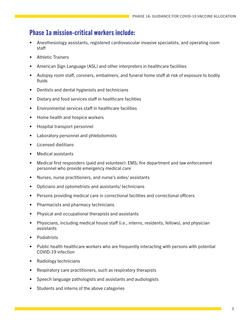#### Phase 1a mission-critical workers include:

- Anesthesiology assistants, registered cardiovascular invasive specialists, and operating room staff
- Athletic Trainers
- American Sign Language (ASL) and other interpreters in healthcare facilities
- Autopsy room staff, coroners, embalmers, and funeral home staff at risk of exposure to bodily fluids
- Dentists and dental hygienists and technicians
- Dietary and food services staff in healthcare facilities
- Environmental services staff in healthcare facilities
- Home health and hospice workers
- Hospital transport personnel
- Laboratory personnel and phlebotomists
- Licensed dietitians
- Medical assistants
- Medical first responders (paid and volunteer): EMS; fire department and law enforcement personnel who provide emergency medical care
- Nurses, nurse practitioners, and nurse's aides/ assistants
- Opticians and optometrists and assistants/ technicians
- Persons providing medical care in correctional facilities and correctional officers
- Pharmacists and pharmacy technicians
- Physical and occupational therapists and assistants
- Physicians, including medical house staff (i.e., interns, residents, fellows), and physician assistants
- Podiatrists
- Public health healthcare workers who are frequently interacting with persons with potential COVID-19 infection
- Radiology technicians
- Respiratory care practitioners, such as respiratory therapists
- Speech language pathologists and assistants and audiologists
- Students and interns of the above categories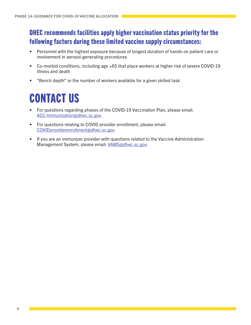### DHEC recommends facilities apply higher vaccination status priority for the following factors during these limited vaccine supply circumstances:

- Personnel with the highest exposure because of longest duration of hands-on patient care or involvement in aerosol-generating procedures
- Co-morbid conditions, including age ≥65 that place workers at higher risk of severe COVID-19 illness and death
- "Bench depth" or the number of workers available for a given skilled task

### CONTACT US

- For questions regarding phases of the COVID-19 Vaccination Plan, please email: ACC-Immunization@dhec.sc.gov.
- For questions relating to COVID provider enrollment, please email: COVIDproviderenrollment@dhec.sc.gov.
- If you are an immunizer provider with questions related to the Vaccine Administration Management System, please email: VAMS@dhec.sc.gov.